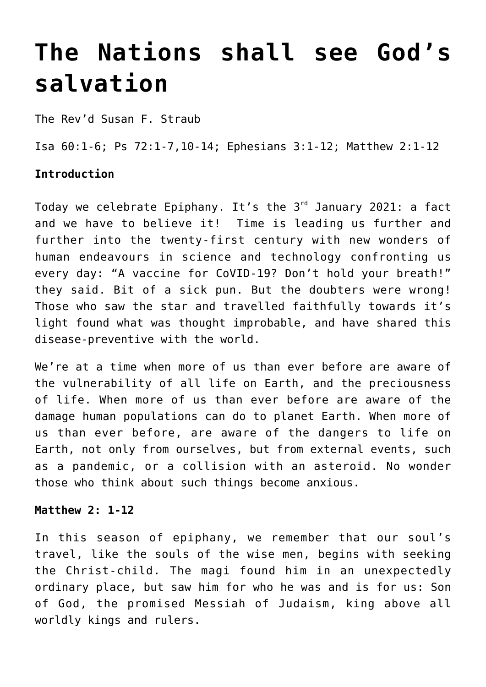## **[The Nations shall see God's](http://stjohnsadelaide.org.au/the-nations-shall-see-gods-salvation/) [salvation](http://stjohnsadelaide.org.au/the-nations-shall-see-gods-salvation/)**

The Rev'd Susan F. Straub

Isa 60:1-6; Ps 72:1-7,10-14; Ephesians 3:1-12; Matthew 2:1-12

## **Introduction**

Today we celebrate Epiphany. It's the  $3<sup>rd</sup>$  January 2021: a fact and we have to believe it! Time is leading us further and further into the twenty-first century with new wonders of human endeavours in science and technology confronting us every day: "A vaccine for CoVID-19? Don't hold your breath!" they said. Bit of a sick pun. But the doubters were wrong! Those who saw the star and travelled faithfully towards it's light found what was thought improbable, and have shared this disease-preventive with the world.

We're at a time when more of us than ever before are aware of the vulnerability of all life on Earth, and the preciousness of life. When more of us than ever before are aware of the damage human populations can do to planet Earth. When more of us than ever before, are aware of the dangers to life on Earth, not only from ourselves, but from external events, such as a pandemic, or a collision with an asteroid. No wonder those who think about such things become anxious.

## **Matthew 2: 1-12**

In this season of epiphany, we remember that our soul's travel, like the souls of the wise men, begins with seeking the Christ-child. The magi found him in an unexpectedly ordinary place, but saw him for who he was and is for us: Son of God, the promised Messiah of Judaism, king above all worldly kings and rulers.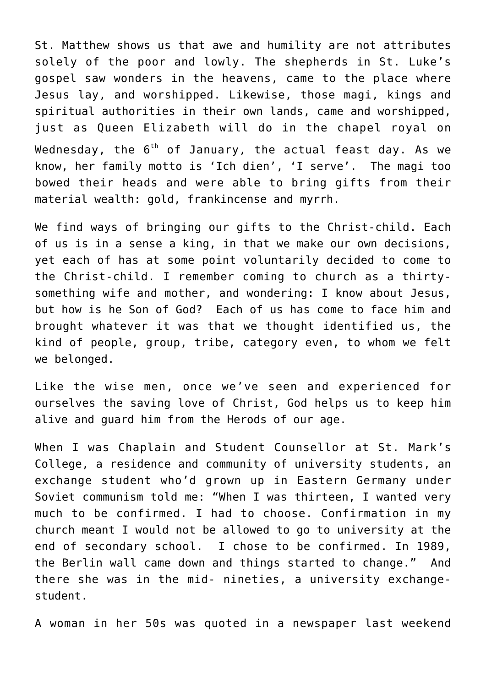St. Matthew shows us that awe and humility are not attributes solely of the poor and lowly. The shepherds in St. Luke's gospel saw wonders in the heavens, came to the place where Jesus lay, and worshipped. Likewise, those magi, kings and spiritual authorities in their own lands, came and worshipped, just as Queen Elizabeth will do in the chapel royal on Wednesday, the  $6<sup>th</sup>$  of January, the actual feast day. As we know, her family motto is 'Ich dien', 'I serve'. The magi too bowed their heads and were able to bring gifts from their material wealth: gold, frankincense and myrrh.

We find ways of bringing our gifts to the Christ-child. Each of us is in a sense a king, in that we make our own decisions, yet each of has at some point voluntarily decided to come to the Christ-child. I remember coming to church as a thirtysomething wife and mother, and wondering: I know about Jesus, but how is he Son of God? Each of us has come to face him and brought whatever it was that we thought identified us, the kind of people, group, tribe, category even, to whom we felt we belonged.

Like the wise men, once we've seen and experienced for ourselves the saving love of Christ, God helps us to keep him alive and guard him from the Herods of our age.

When I was Chaplain and Student Counsellor at St. Mark's College, a residence and community of university students, an exchange student who'd grown up in Eastern Germany under Soviet communism told me: "When I was thirteen, I wanted very much to be confirmed. I had to choose. Confirmation in my church meant I would not be allowed to go to university at the end of secondary school. I chose to be confirmed. In 1989, the Berlin wall came down and things started to change." And there she was in the mid- nineties, a university exchangestudent.

A woman in her 50s was quoted in a newspaper last weekend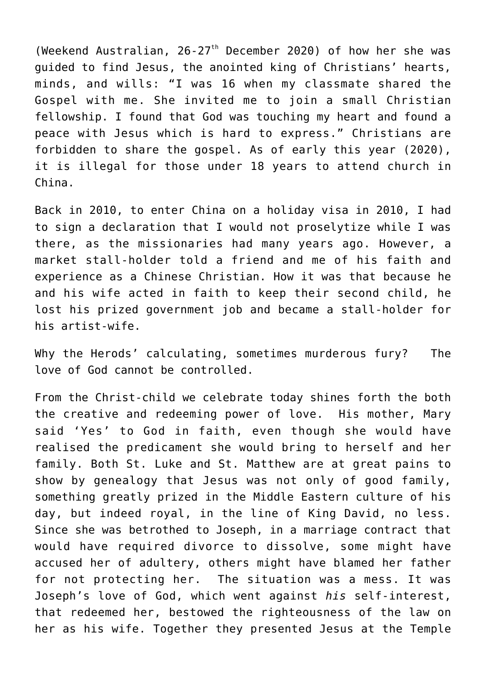(Weekend Australian,  $26-27$ <sup>th</sup> December 2020) of how her she was guided to find Jesus, the anointed king of Christians' hearts, minds, and wills: "I was 16 when my classmate shared the Gospel with me. She invited me to join a small Christian fellowship. I found that God was touching my heart and found a peace with Jesus which is hard to express." Christians are forbidden to share the gospel. As of early this year (2020), it is illegal for those under 18 years to attend church in China.

Back in 2010, to enter China on a holiday visa in 2010, I had to sign a declaration that I would not proselytize while I was there, as the missionaries had many years ago. However, a market stall-holder told a friend and me of his faith and experience as a Chinese Christian. How it was that because he and his wife acted in faith to keep their second child, he lost his prized government job and became a stall-holder for his artist-wife.

Why the Herods' calculating, sometimes murderous fury? The love of God cannot be controlled.

From the Christ-child we celebrate today shines forth the both the creative and redeeming power of love. His mother, Mary said 'Yes' to God in faith, even though she would have realised the predicament she would bring to herself and her family. Both St. Luke and St. Matthew are at great pains to show by genealogy that Jesus was not only of good family, something greatly prized in the Middle Eastern culture of his day, but indeed royal, in the line of King David, no less. Since she was betrothed to Joseph, in a marriage contract that would have required divorce to dissolve, some might have accused her of adultery, others might have blamed her father for not protecting her. The situation was a mess. It was Joseph's love of God, which went against *his* self-interest, that redeemed her, bestowed the righteousness of the law on her as his wife. Together they presented Jesus at the Temple